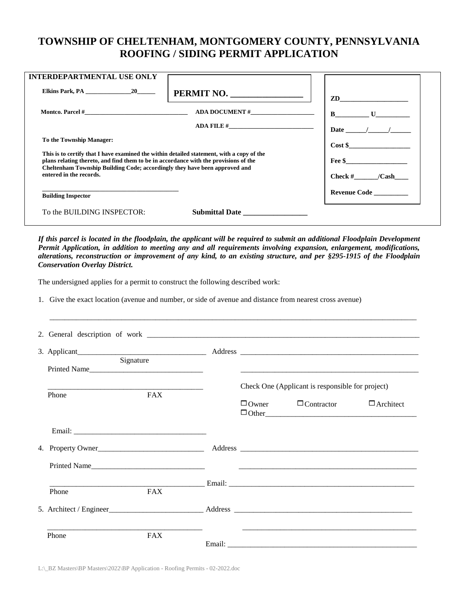## **TOWNSHIP OF CHELTENHAM, MONTGOMERY COUNTY, PENNSYLVANIA ROOFING / SIDING PERMIT APPLICATION**

| <b>INTERDEPARTMENTAL USE ONLY</b>                                                                                                                                                 |                |                                                                                                                                                                                                                                |
|-----------------------------------------------------------------------------------------------------------------------------------------------------------------------------------|----------------|--------------------------------------------------------------------------------------------------------------------------------------------------------------------------------------------------------------------------------|
| Elkins Park, PA 20                                                                                                                                                                | PERMIT NO.     | ZD and the same state of the state of the state of the state of the state of the state of the state of the state of the state of the state of the state of the state of the state of the state of the state of the state of th |
| Montco. Parcel #                                                                                                                                                                  | ADA DOCUMENT # | $\mathbf{U}$<br>$\mathbf{B}$                                                                                                                                                                                                   |
|                                                                                                                                                                                   | ADA FILE $#$   | Date $/$ / /                                                                                                                                                                                                                   |
| To the Township Manager:                                                                                                                                                          |                | $\csc$ $\sin$                                                                                                                                                                                                                  |
| This is to certify that I have examined the within detailed statement, with a copy of the<br>plans relating thereto, and find them to be in accordance with the provisions of the | Fee \$         |                                                                                                                                                                                                                                |
| Cheltenham Township Building Code; accordingly they have been approved and<br>entered in the records.                                                                             |                | $Check \#$ /Cash                                                                                                                                                                                                               |
| <b>Building Inspector</b>                                                                                                                                                         |                | <b>Revenue Code</b>                                                                                                                                                                                                            |
| To the BUILDING INSPECTOR:                                                                                                                                                        | Submittal Date |                                                                                                                                                                                                                                |

*If this parcel is located in the floodplain, the applicant will be required to submit an additional Floodplain Development Permit Application, in addition to meeting any and all requirements involving expansion, enlargement, modifications, alterations, reconstruction or improvement of any kind, to an existing structure, and per §295-1915 of the Floodplain Conservation Overlay District.* 

 $\overline{\phantom{a}}$  , and the contribution of the contribution of the contribution of the contribution of the contribution of the contribution of the contribution of the contribution of the contribution of the contribution of the

The undersigned applies for a permit to construct the following described work:

1. Give the exact location (avenue and number, or side of avenue and distance from nearest cross avenue)

|       | Signature    |                                                  |                                                                                                                       |                  |  |
|-------|--------------|--------------------------------------------------|-----------------------------------------------------------------------------------------------------------------------|------------------|--|
|       | Printed Name |                                                  |                                                                                                                       |                  |  |
|       |              | Check One (Applicant is responsible for project) |                                                                                                                       |                  |  |
| Phone | FAX          |                                                  | $\Box$ Owner $\Box$ Contractor                                                                                        | $\Box$ Architect |  |
|       |              |                                                  |                                                                                                                       |                  |  |
|       |              |                                                  |                                                                                                                       |                  |  |
|       |              |                                                  | Printed Name                                                                                                          |                  |  |
|       |              |                                                  |                                                                                                                       |                  |  |
| Phone | <b>FAX</b>   |                                                  |                                                                                                                       |                  |  |
|       |              |                                                  |                                                                                                                       |                  |  |
| Phone | <b>FAX</b>   |                                                  | <u> 1989 - Jan James James James James James James James James James James James James James James James James Ja</u> |                  |  |

L:\\_BZ Masters\BP Masters\2022\BP Application - Roofing Permits - 02-2022.doc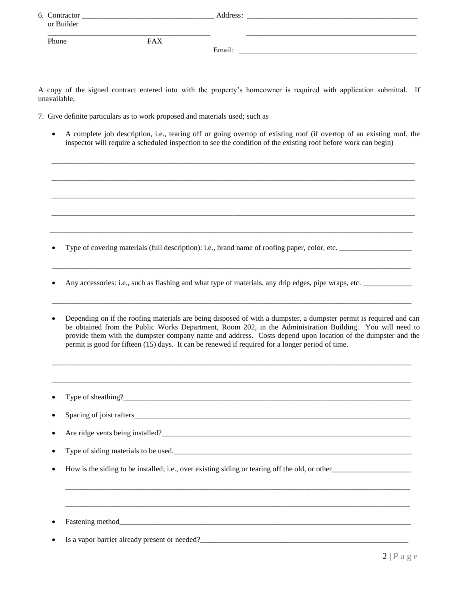| 6. Contractor<br>or Builder |            | Address: |  |  |  |
|-----------------------------|------------|----------|--|--|--|
| Phone                       | <b>FAX</b> | Email:   |  |  |  |

A copy of the signed contract entered into with the property's homeowner is required with application submittal. If unavailable,

- 7. Give definite particulars as to work proposed and materials used; such as
	- A complete job description, i.e., tearing off or going overtop of existing roof (if overtop of an existing roof, the inspector will require a scheduled inspection to see the condition of the existing roof before work can begin)

 $\mathcal{L} = \{ \mathcal{L} = \{ \mathcal{L} \mid \mathcal{L} = \{ \mathcal{L} \mid \mathcal{L} = \{ \mathcal{L} \mid \mathcal{L} = \{ \mathcal{L} \mid \mathcal{L} = \{ \mathcal{L} \mid \mathcal{L} = \{ \mathcal{L} \mid \mathcal{L} = \{ \mathcal{L} \mid \mathcal{L} = \{ \mathcal{L} \mid \mathcal{L} = \{ \mathcal{L} \mid \mathcal{L} = \{ \mathcal{L} \mid \mathcal{L} = \{ \mathcal{L} \mid \mathcal{L} = \{ \mathcal{L} \mid \mathcal{L} =$ 

 $\overline{\phantom{a}}$  ,  $\overline{\phantom{a}}$  ,  $\overline{\phantom{a}}$  ,  $\overline{\phantom{a}}$  ,  $\overline{\phantom{a}}$  ,  $\overline{\phantom{a}}$  ,  $\overline{\phantom{a}}$  ,  $\overline{\phantom{a}}$  ,  $\overline{\phantom{a}}$  ,  $\overline{\phantom{a}}$  ,  $\overline{\phantom{a}}$  ,  $\overline{\phantom{a}}$  ,  $\overline{\phantom{a}}$  ,  $\overline{\phantom{a}}$  ,  $\overline{\phantom{a}}$  ,  $\overline{\phantom{a}}$ 

 $\mathcal{L}_\text{max}$  , and the set of the set of the set of the set of the set of the set of the set of the set of the set of the set of the set of the set of the set of the set of the set of the set of the set of the set of the

 $\overline{\phantom{a}}$  ,  $\overline{\phantom{a}}$  ,  $\overline{\phantom{a}}$  ,  $\overline{\phantom{a}}$  ,  $\overline{\phantom{a}}$  ,  $\overline{\phantom{a}}$  ,  $\overline{\phantom{a}}$  ,  $\overline{\phantom{a}}$  ,  $\overline{\phantom{a}}$  ,  $\overline{\phantom{a}}$  ,  $\overline{\phantom{a}}$  ,  $\overline{\phantom{a}}$  ,  $\overline{\phantom{a}}$  ,  $\overline{\phantom{a}}$  ,  $\overline{\phantom{a}}$  ,  $\overline{\phantom{a}}$ 

 $\overline{\phantom{a}}$  ,  $\overline{\phantom{a}}$  ,  $\overline{\phantom{a}}$  ,  $\overline{\phantom{a}}$  ,  $\overline{\phantom{a}}$  ,  $\overline{\phantom{a}}$  ,  $\overline{\phantom{a}}$  ,  $\overline{\phantom{a}}$  ,  $\overline{\phantom{a}}$  ,  $\overline{\phantom{a}}$  ,  $\overline{\phantom{a}}$  ,  $\overline{\phantom{a}}$  ,  $\overline{\phantom{a}}$  ,  $\overline{\phantom{a}}$  ,  $\overline{\phantom{a}}$  ,  $\overline{\phantom{a}}$ 

- Type of covering materials (full description): i.e., brand name of roofing paper, color, etc. \_\_\_\_\_\_\_\_\_\_\_\_\_\_\_\_\_\_\_
- Any accessories: i.e., such as flashing and what type of materials, any drip edges, pipe wraps, etc. \_\_\_\_\_\_\_\_\_\_\_\_\_

\_\_\_\_\_\_\_\_\_\_\_\_\_\_\_\_\_\_\_\_\_\_\_\_\_\_\_\_\_\_\_\_\_\_\_\_\_\_\_\_\_\_\_\_\_\_\_\_\_\_\_\_\_\_\_\_\_\_\_\_\_\_\_\_\_\_\_\_\_\_\_\_\_\_\_\_\_\_\_\_\_\_\_\_\_\_\_\_\_\_\_\_\_\_\_

\_\_\_\_\_\_\_\_\_\_\_\_\_\_\_\_\_\_\_\_\_\_\_\_\_\_\_\_\_\_\_\_\_\_\_\_\_\_\_\_\_\_\_\_\_\_\_\_\_\_\_\_\_\_\_\_\_\_\_\_\_\_\_\_\_\_\_\_\_\_\_\_\_\_\_\_\_\_\_\_\_\_\_\_\_\_\_\_\_\_\_\_\_\_\_

 Depending on if the roofing materials are being disposed of with a dumpster, a dumpster permit is required and can be obtained from the Public Works Department, Room 202, in the Administration Building. You will need to provide them with the dumpster company name and address. Costs depend upon location of the dumpster and the permit is good for fifteen (15) days. It can be renewed if required for a longer period of time.

\_\_\_\_\_\_\_\_\_\_\_\_\_\_\_\_\_\_\_\_\_\_\_\_\_\_\_\_\_\_\_\_\_\_\_\_\_\_\_\_\_\_\_\_\_\_\_\_\_\_\_\_\_\_\_\_\_\_\_\_\_\_\_\_\_\_\_\_\_\_\_\_\_\_\_\_\_\_\_\_\_\_\_\_\_\_\_\_\_\_\_\_\_\_\_

 $\overline{\phantom{a}}$  ,  $\overline{\phantom{a}}$  ,  $\overline{\phantom{a}}$  ,  $\overline{\phantom{a}}$  ,  $\overline{\phantom{a}}$  ,  $\overline{\phantom{a}}$  ,  $\overline{\phantom{a}}$  ,  $\overline{\phantom{a}}$  ,  $\overline{\phantom{a}}$  ,  $\overline{\phantom{a}}$  ,  $\overline{\phantom{a}}$  ,  $\overline{\phantom{a}}$  ,  $\overline{\phantom{a}}$  ,  $\overline{\phantom{a}}$  ,  $\overline{\phantom{a}}$  ,  $\overline{\phantom{a}}$ 

 Type of sheathing?\_\_\_\_\_\_\_\_\_\_\_\_\_\_\_\_\_\_\_\_\_\_\_\_\_\_\_\_\_\_\_\_\_\_\_\_\_\_\_\_\_\_\_\_\_\_\_\_\_\_\_\_\_\_\_\_\_\_\_\_\_\_\_\_\_\_\_\_\_\_\_\_\_\_\_\_ Spacing of joist rafters\_\_\_\_\_\_\_\_\_\_\_\_\_\_\_\_\_\_\_\_\_\_\_\_\_\_\_\_\_\_\_\_\_\_\_\_\_\_\_\_\_\_\_\_\_\_\_\_\_\_\_\_\_\_\_\_\_\_\_\_\_\_\_\_\_\_\_\_\_\_\_\_\_ Are ridge vents being installed?\_\_\_\_\_\_\_\_\_\_\_\_\_\_\_\_\_\_\_\_\_\_\_\_\_\_\_\_\_\_\_\_\_\_\_\_\_\_\_\_\_\_\_\_\_\_\_\_\_\_\_\_\_\_\_\_\_\_\_\_\_\_\_\_\_\_ Type of siding materials to be used. How is the siding to be installed; i.e., over existing siding or tearing off the old, or other\_\_\_\_\_\_\_\_\_\_\_\_\_\_\_\_\_\_\_\_\_ \_\_\_\_\_\_\_\_\_\_\_\_\_\_\_\_\_\_\_\_\_\_\_\_\_\_\_\_\_\_\_\_\_\_\_\_\_\_\_\_\_\_\_\_\_\_\_\_\_\_\_\_\_\_\_\_\_\_\_\_\_\_\_\_\_\_\_\_\_\_\_\_\_\_\_\_\_\_\_\_\_\_\_\_\_\_\_\_\_\_\_ \_\_\_\_\_\_\_\_\_\_\_\_\_\_\_\_\_\_\_\_\_\_\_\_\_\_\_\_\_\_\_\_\_\_\_\_\_\_\_\_\_\_\_\_\_\_\_\_\_\_\_\_\_\_\_\_\_\_\_\_\_\_\_\_\_\_\_\_\_\_\_\_\_\_\_\_\_\_\_\_\_\_\_\_\_\_\_\_\_\_\_ Fastening method Is a vapor barrier already present or needed?\_\_\_\_\_\_\_\_\_\_\_\_\_\_\_\_\_\_\_\_\_\_\_\_\_\_\_\_\_\_\_\_\_\_\_\_\_\_\_\_\_\_\_\_\_\_\_\_\_\_\_\_\_\_\_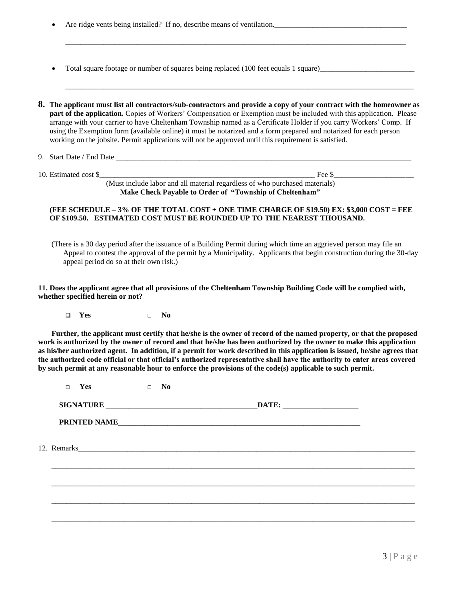- Are ridge vents being installed? If no, describe means of ventilation.\_\_\_\_\_\_\_\_\_\_\_\_\_\_\_\_\_\_\_\_\_\_\_\_\_\_\_\_\_\_\_\_\_\_\_
- Total square footage or number of squares being replaced (100 feet equals 1 square)
- **8. The applicant must list all contractors/sub-contractors and provide a copy of your contract with the homeowner as part of the application.** Copies of Workers' Compensation or Exemption must be included with this application. Please arrange with your carrier to have Cheltenham Township named as a Certificate Holder if you carry Workers' Comp. If using the Exemption form (available online) it must be notarized and a form prepared and notarized for each person working on the jobsite. Permit applications will not be approved until this requirement is satisfied.

\_\_\_\_\_\_\_\_\_\_\_\_\_\_\_\_\_\_\_\_\_\_\_\_\_\_\_\_\_\_\_\_\_\_\_\_\_\_\_\_\_\_\_\_\_\_\_\_\_\_\_\_\_\_\_\_\_\_\_\_\_\_\_\_\_\_\_\_\_\_\_\_\_\_\_\_\_\_\_\_\_\_\_\_\_\_\_\_\_\_

\_\_\_\_\_\_\_\_\_\_\_\_\_\_\_\_\_\_\_\_\_\_\_\_\_\_\_\_\_\_\_\_\_\_\_\_\_\_\_\_\_\_\_\_\_\_\_\_\_\_\_\_\_\_\_\_\_\_\_\_\_\_\_\_\_\_\_\_\_\_\_\_\_\_\_\_\_\_\_\_\_\_\_\_\_\_\_\_\_\_\_\_

## 9. Start Date / End Date \_\_\_\_\_\_\_\_\_\_\_\_\_\_\_\_\_\_\_\_\_\_\_\_\_\_\_\_\_\_\_\_\_\_\_\_\_\_\_\_\_\_\_\_\_\_\_\_\_\_\_\_\_\_\_\_\_\_\_\_\_\_\_\_\_\_\_\_\_\_\_\_\_\_\_\_\_\_

| 10. Estimated cost \$ | Fee \$                                                                      |  |
|-----------------------|-----------------------------------------------------------------------------|--|
|                       | (Must include labor and all material regardless of who purchased materials) |  |
|                       | Make Check Payable to Order of "Township of Cheltenham"                     |  |

## **(FEE SCHEDULE – 3% OF THE TOTAL COST + ONE TIME CHARGE OF \$19.50) EX: \$3,000 COST = FEE OF \$109.50. ESTIMATED COST MUST BE ROUNDED UP TO THE NEAREST THOUSAND.**

 (There is a 30 day period after the issuance of a Building Permit during which time an aggrieved person may file an Appeal to contest the approval of the permit by a Municipality. Applicants that begin construction during the 30-day appeal period do so at their own risk.)

## **11. Does the applicant agree that all provisions of the Cheltenham Township Building Code will be complied with, whether specified herein or not?**

**Yes** □ **No**

 **Further, the applicant must certify that he/she is the owner of record of the named property, or that the proposed work is authorized by the owner of record and that he/she has been authorized by the owner to make this application as his/her authorized agent. In addition, if a permit for work described in this application is issued, he/she agrees that the authorized code official or that official's authorized representative shall have the authority to enter areas covered by such permit at any reasonable hour to enforce the provisions of the code(s) applicable to such permit.**

| $\Box$ | Yes | N <sub>0</sub><br>$\Box$ |  |  |
|--------|-----|--------------------------|--|--|
|        |     |                          |  |  |
|        |     |                          |  |  |
|        |     |                          |  |  |
|        |     |                          |  |  |
|        |     |                          |  |  |
|        |     |                          |  |  |
|        |     |                          |  |  |
|        |     |                          |  |  |